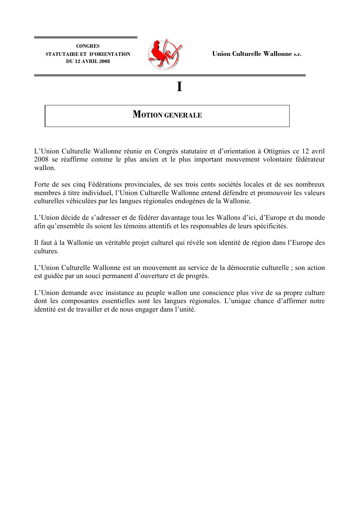

### T

### **MOTION GENERALE**

L'Union Culturelle Wallonne réunie en Congrès statutaire et d'orientation à Ottignies ce 12 avril 2008 se réaffirme comme le plus ancien et le plus important mouvement volontaire fédérateur wallon.

Forte de ses cinq Fédérations provinciales, de ses trois cents sociétés locales et de ses nombreux membres à titre individuel, l'Union Culturelle Wallonne entend défendre et promouvoir les valeurs culturelles véhiculées par les langues régionales endogènes de la Wallonie.

L'Union décide de s'adresser et de fédérer davantage tous les Wallons d'ici, d'Europe et du monde afin qu'ensemble ils soient les témoins attentifs et les responsables de leurs spécificités.

Il faut à la Wallonie un véritable projet culturel qui révèle son identité de région dans l'Europe des cultures

L'Union Culturelle Wallonne est un mouvement au service de la démocratie culturelle ; son action est guidée par un souci permanent d'ouverture et de progrès.

L'Union demande avec insistance au peuple wallon une conscience plus vive de sa propre culture dont les composantes essentielles sont les langues régionales. L'unique chance d'affirmer notre identité est de travailler et de nous engager dans l'unité.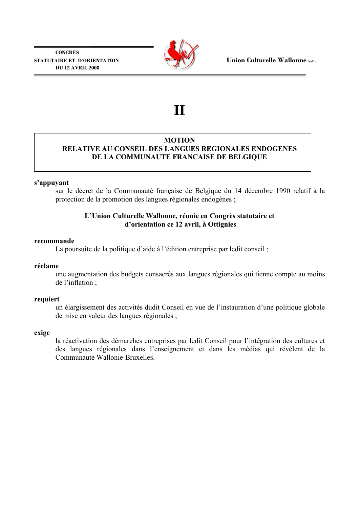

# $\mathbf{H}$

### **MOTION** RELATIVE AU CONSEIL DES LANGUES REGIONALES ENDOGENES DE LA COMMUNAUTE FRANCAISE DE BELGIOUE

### s'appuyant

sur le décret de la Communauté française de Belgique du 14 décembre 1990 relatif à la protection de la promotion des langues régionales endogènes;

### L'Union Culturelle Wallonne, réunie en Congrès statutaire et d'orientation ce 12 avril, à Ottignies

### recommande

La poursuite de la politique d'aide à l'édition entreprise par ledit conseil;

### réclame

une augmentation des budgets consacrés aux langues régionales qui tienne compte au moins de l'inflation :

### requiert

un élargissement des activités dudit Conseil en vue de l'instauration d'une politique globale de mise en valeur des langues régionales;

### exige

la réactivation des démarches entreprises par ledit Conseil pour l'intégration des cultures et des langues régionales dans l'enseignement et dans les médias qui révélent de la Communauté Wallonie-Bruxelles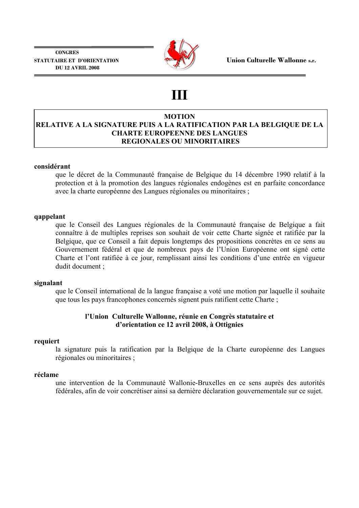

## ШI

### **MOTION** RELATIVE A LA SIGNATURE PUIS A LA RATIFICATION PAR LA BELGIQUE DE LA **CHARTE EUROPEENNE DES LANGUES REGIONALES OU MINORITAIRES**

### considérant

que le décret de la Communauté française de Belgique du 14 décembre 1990 relatif à la protection et à la promotion des langues régionales endogènes est en parfaite concordance avec la charte européenne des Langues régionales ou minoritaires :

### qappelant

que le Conseil des Langues régionales de la Communauté française de Belgique a fait connaître à de multiples reprises son souhait de voir cette Charte signée et ratifiée par la Belgique, que ce Conseil a fait depuis longtemps des propositions concrètes en ce sens au Gouvernement fédéral et que de nombreux pays de l'Union Européenne ont signé cette Charte et l'ont ratifiée à ce jour, remplissant ainsi les conditions d'une entrée en vigueur dudit document;

### signalant

que le Conseil international de la langue française a voté une motion par laquelle il souhaite que tous les pays francophones concernés signent puis ratifient cette Charte;

### l'Union Culturelle Wallonne, réunie en Congrès statutaire et d'orientation ce 12 avril 2008, à Ottignies

### requiert

la signature puis la ratification par la Belgique de la Charte européenne des Langues régionales ou minoritaires ;

### réclame

une intervention de la Communauté Wallonie-Bruxelles en ce sens auprès des autorités fédérales, afin de voir concrétiser ainsi sa dernière déclaration gouvernementale sur ce sujet.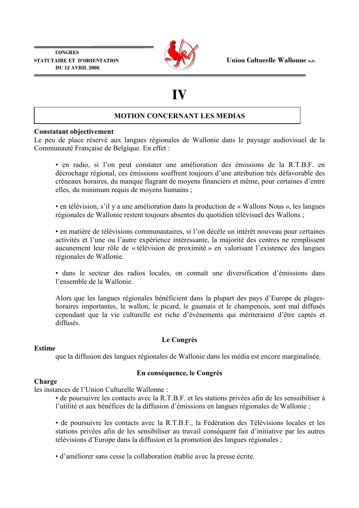

Union Culturelle Wallonne s.r.

# IV

### **MOTION CONCERNANT LES MEDIAS**

### **Constatant objectivement**

Le peu de place réservé aux langues régionales de Wallonie dans le paysage audiovisuel de la Communauté Française de Belgique. En effet :

· en radio, si l'on peut constater une amélioration des émissions de la R.T.B.F. en décrochage régional, ces émissions souffrent toujours d'une attribution très défavorable des créneaux horaires, du manque flagrant de moyens financiers et même, pour certaines d'entre elles, du minimum requis de movens humains :

• en télévision, s'il y a une amélioration dans la production de « Wallons Nous », les langues régionales de Wallonie restent toujours absentes du quotidien télévisuel des Wallons;

• en matière de télévisions communautaires, si l'on décèle un intérêt nouveau pour certaines activités et l'une ou l'autre expérience intéressante, la majorité des centres ne remplissent aucunement leur rôle de « télévision de proximité » en valorisant l'existence des langues régionales de Wallonie.

· dans le secteur des radios locales, on connaît une diversification d'émissions dans l'ensemble de la Wallonie

Alors que les langues régionales bénéficient dans la plupart des pays d'Europe de plageshoraires importantes, le wallon, le picard, le gaumais et le champenois, sont mal diffusés cependant que la vie culturelle est riche d'événements qui mériteraient d'être captés et diffusés

### **Estime**

que la diffusion des langues régionales de Wallonie dans les média est encore marginalisée.

Le Congrès

### En conséquence, le Congrès

### Charge

les instances de l'Union Culturelle Wallonne:

• de poursuivre les contacts avec la R.T.B.F. et les stations privées afin de les senssibiliser à l'utilité et aux bénéfices de la diffusion d'émissions en langues régionales de Wallonie :

· de poursuivre les contacts avec la R.T.B.F., la Fédération des Télévisions locales et les stations privées afin de les sensibiliser au travail conséquent fait d'initiative par les autres télévisions d'Europe dans la diffusion et la promotion des langues régionales ;

· d'améliorer sans cesse la collaboration établie avec la presse écrite.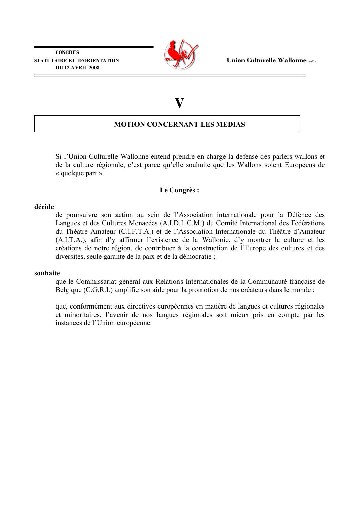

## $\bar{\mathbf{V}}$

### **MOTION CONCERNANT LES MEDIAS**

Si l'Union Culturelle Wallonne entend prendre en charge la défense des parlers wallons et de la culture régionale, c'est parce qu'elle souhaite que les Wallons soient Européens de « quelque part ».

### Le Congrès:

### décide

de poursuivre son action au sein de l'Association internationale pour la Défence des Langues et des Cultures Menacées (A.I.D.L.C.M.) du Comité International des Fédérations du Théâtre Amateur (C.I.F.T.A.) et de l'Association Internationale du Théâtre d'Amateur (A.I.T.A.), afin d'y affirmer l'existence de la Wallonie, d'y montrer la culture et les créations de notre région, de contribuer à la construction de l'Europe des cultures et des diversités, seule garante de la paix et de la démocratie;

### souhaite

que le Commissariat général aux Relations Internationales de la Communauté française de Belgique (C.G.R.I.) amplifie son aide pour la promotion de nos créateurs dans le monde;

que, conformément aux directives européennes en matière de langues et cultures régionales et minoritaires. l'avenir de nos langues régionales soit mieux pris en compte par les instances de l'Union européenne.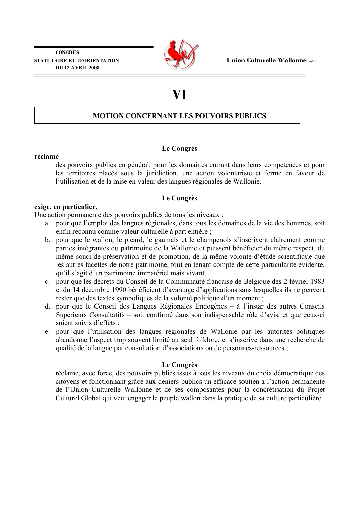

# VI

### **MOTION CONCERNANT LES POUVOIRS PUBLICS**

### Le Congrès

### réclame

des pouvoirs publics en général, pour les domaines entrant dans leurs compétences et pour les territoires placés sous la juridiction, une action volontariste et ferme en faveur de l'utilisation et de la mise en valeur des langues régionales de Wallonie.

### Le Congrès

### exige, en particulier,

Une action permanente des pouvoirs publics de tous les niveaux :

- a. pour que l'emploi des langues régionales, dans tous les domaines de la vie des hommes, soit enfin reconnu comme valeur culturelle à part entière ;
- b. pour que le wallon, le picard, le gaumais et le champenois s'inscrivent clairement comme parties intégrantes du patrimoine de la Wallonie et puissent bénéficier du même respect, du même souci de préservation et de promotion, de la même volonté d'étude scientifique que les autres facettes de notre patrimoine, tout en tenant compte de cette particularité évidente, qu'il s'agit d'un patrimoine immatériel mais vivant.
- c. pour que les décrets du Conseil de la Communauté française de Belgique des 2 février 1983 et du 14 décembre 1990 bénéficient d'avantage d'applications sans lesquelles ils ne peuvent rester que des textes symboliques de la volonté politique d'un moment :
- d. pour que le Conseil des Langues Régionales Endogènes à l'instar des autres Conseils Supérieurs Consultatifs – soit confirmé dans son indispensable rôle d'avis, et que ceux-ci soient suivis d'effets :
- e. pour que l'utilisation des langues régionales de Wallonie par les autorités politiques abandonne l'aspect trop souvent limité au seul folklore, et s'inscrive dans une recherche de qualité de la langue par consultation d'associations ou de personnes-ressources;

### Le Congrès

réclame, avec force, des pouvoirs publics issus à tous les niveaux du choix démocratique des citoyens et fonctionnant grâce aux deniers publics un efficace soutien à l'action permanente de l'Union Culturelle Wallonne et de ses composantes pour la concrétisation du Projet Culturel Global qui veut engager le peuple wallon dans la pratique de sa culture particulière.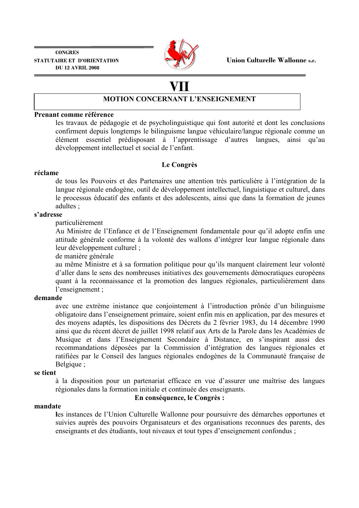

# VII

### **MOTION CONCERNANT L'ENSEIGNEMENT**

### Prenant comme référence

les travaux de pédagogie et de psycholinguistique qui font autorité et dont les conclusions confirment depuis longtemps le bilinguisme langue véhiculaire/langue régionale comme un élément essentiel prédisposant à l'apprentissage d'autres langues, ainsi qu'au développement intellectuel et social de l'enfant.

### Le Congrès

### réclame

de tous les Pouvoirs et des Partenaires une attention très particulière à l'intégration de la langue régionale endogène, outil de développement intellectuel, linguistique et culturel, dans le processus éducatif des enfants et des adolescents, ainsi que dans la formation de jeunes adultes:

### s'adresse

particulièrement

Au Ministre de l'Enfance et de l'Enseignement fondamentale pour qu'il adopte enfin une attitude générale conforme à la volonté des wallons d'intégrer leur langue régionale dans leur développement culturel :

de manière générale

au même Ministre et à sa formation politique pour qu'ils marquent clairement leur volonté d'aller dans le sens des nombreuses initiatives des gouvernements démocratiques européens quant à la reconnaissance et la promotion des langues régionales, particulièrement dans l'enseignement :

### demande

avec une extrème inistance que conjointement à l'introduction prônée d'un bilinguisme obligatoire dans l'enseignement primaire, soient enfin mis en application, par des mesures et des moyens adaptés, les dispositions des Décrets du 2 février 1983, du 14 décembre 1990 ainsi que du récent décret de juillet 1998 relatif aux Arts de la Parole dans les Académies de Musique et dans l'Enseignement Secondaire à Distance, en s'inspirant aussi des recommandations déposées par la Commission d'intégration des langues régionales et ratifiées par le Conseil des langues régionales endogènes de la Communauté française de Belgique;

### se tient

à la disposition pour un partenariat efficace en vue d'assurer une maîtrise des langues régionales dans la formation initiale et continuée des enseignants.

### En conséquence, le Congrès :

#### mandate

les instances de l'Union Culturelle Wallonne pour poursuivre des démarches opportunes et suivies auprès des pouvoirs Organisateurs et des organisations reconnues des parents, des enseignants et des étudiants, tout niveaux et tout types d'enseignement confondus;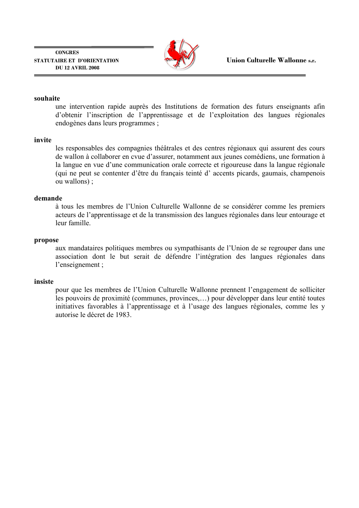

### souhaite

une intervention rapide auprès des Institutions de formation des futurs enseignants afine d'obtenir l'inscription de l'apprentissage et de l'exploitation des langues régionales endogènes dans leurs programmes :

### invite

les responsables des compagnies théâtrales et des centres régionaux qui assurent des cours de wallon à collaborer en cyue d'assurer, notamment aux jeunes comédiens, une formation à la langue en vue d'une communication orale correcte et rigoureuse dans la langue régionale (qui ne peut se contenter d'être du français teinté d' accents picards, gaumais, champenois ou wallons) ;

### demande

à tous les membres de l'Union Culturelle Wallonne de se considérer comme les premiers acteurs de l'apprentissage et de la transmission des langues régionales dans leur entourage et leur famille.

### propose

aux mandataires politiques membres ou sympathisants de l'Union de se regrouper dans une association dont le but serait de défendre l'intégration des langues régionales dans l'enseignement ;

### insiste

pour que les membres de l'Union Culturelle Wallonne prennent l'engagement de solliciter les pouvoirs de proximité (communes, provinces,...) pour développer dans leur entité toutes initiatives favorables à l'apprentissage et à l'usage des langues régionales, comme les y autorise le décret de 1983.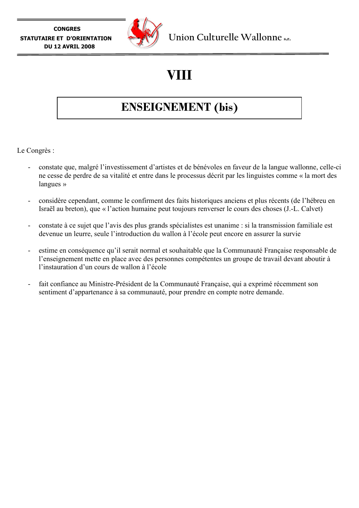

# VIII

## **ENSEIGNEMENT** (bis)

Le Congrès :

- constate que, malgré l'investissement d'artistes et de bénévoles en faveur de la langue wallonne, celle-ci ne cesse de perdre de sa vitalité et entre dans le processus décrit par les linguistes comme « la mort des langues  $\gg$
- considère cependant, comme le confirment des faits historiques anciens et plus récents (de l'hébreu en  $\overline{\phantom{a}}$ Israël au breton), que « l'action humaine peut toujours renverser le cours des choses (J.-L. Calvet)
- constate à ce sujet que l'avis des plus grands spécialistes est unanime : si la transmission familiale est devenue un leurre, seule l'introduction du wallon à l'école peut encore en assurer la survie
- estime en conséquence qu'il serait normal et souhaitable que la Communauté Française responsable de l'enseignement mette en place avec des personnes compétentes un groupe de travail devant aboutir à l'instauration d'un cours de wallon à l'école
- fait confiance au Ministre-Président de la Communauté Française, qui a exprimé récemment son sentiment d'appartenance à sa communauté, pour prendre en compte notre demande.